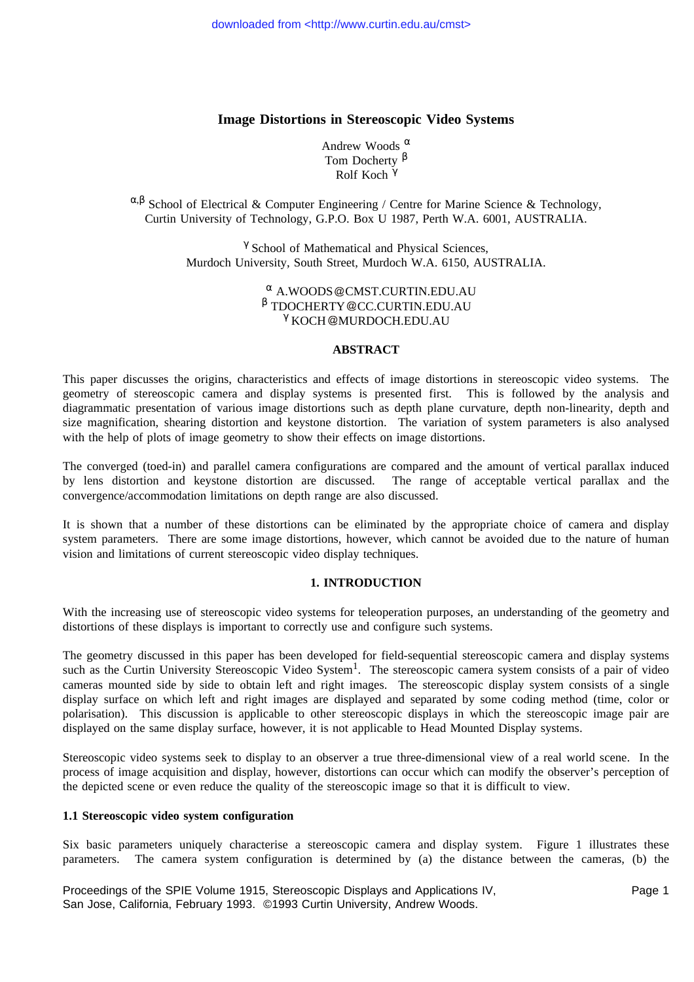# **Image Distortions in Stereoscopic Video Systems**

Andrew Woods  $\alpha$ Tom Docherty  $<sup>β</sup>$ </sup> Rolf Koch<sup>γ</sup>

 $α,β$  School of Electrical & Computer Engineering / Centre for Marine Science & Technology, Curtin University of Technology, G.P.O. Box U 1987, Perth W.A. 6001, AUSTRALIA.

> <sup>γ</sup> School of Mathematical and Physical Sciences, Murdoch University, South Street, Murdoch W.A. 6150, AUSTRALIA.

# $\alpha$  A.WOODS @CMST.CURTIN.EDU.AU  $β$  TDOCHERTY @CC.CURTIN.EDU.AU <sup>γ</sup> KOCH @MURDOCH.EDU.AU

### **ABSTRACT**

This paper discusses the origins, characteristics and effects of image distortions in stereoscopic video systems. The geometry of stereoscopic camera and display systems is presented first. This is followed by the analysis and diagrammatic presentation of various image distortions such as depth plane curvature, depth non-linearity, depth and size magnification, shearing distortion and keystone distortion. The variation of system parameters is also analysed with the help of plots of image geometry to show their effects on image distortions.

The converged (toed-in) and parallel camera configurations are compared and the amount of vertical parallax induced by lens distortion and keystone distortion are discussed. The range of acceptable vertical parallax and the convergence/accommodation limitations on depth range are also discussed.

It is shown that a number of these distortions can be eliminated by the appropriate choice of camera and display system parameters. There are some image distortions, however, which cannot be avoided due to the nature of human vision and limitations of current stereoscopic video display techniques.

### **1. INTRODUCTION**

With the increasing use of stereoscopic video systems for teleoperation purposes, an understanding of the geometry and distortions of these displays is important to correctly use and configure such systems.

The geometry discussed in this paper has been developed for field-sequential stereoscopic camera and display systems such as the Curtin University Stereoscopic Video System<sup>1</sup>. The stereoscopic camera system consists of a pair of video cameras mounted side by side to obtain left and right images. The stereoscopic display system consists of a single display surface on which left and right images are displayed and separated by some coding method (time, color or polarisation). This discussion is applicable to other stereoscopic displays in which the stereoscopic image pair are displayed on the same display surface, however, it is not applicable to Head Mounted Display systems.

Stereoscopic video systems seek to display to an observer a true three-dimensional view of a real world scene. In the process of image acquisition and display, however, distortions can occur which can modify the observer's perception of the depicted scene or even reduce the quality of the stereoscopic image so that it is difficult to view.

### **1.1 Stereoscopic video system configuration**

Six basic parameters uniquely characterise a stereoscopic camera and display system. Figure 1 illustrates these parameters. The camera system configuration is determined by (a) the distance between the cameras, (b) the

Proceedings of the SPIE Volume 1915, Stereoscopic Displays and Applications IV, The Magnessium Page 1 San Jose, California, February 1993. ©1993 Curtin University, Andrew Woods.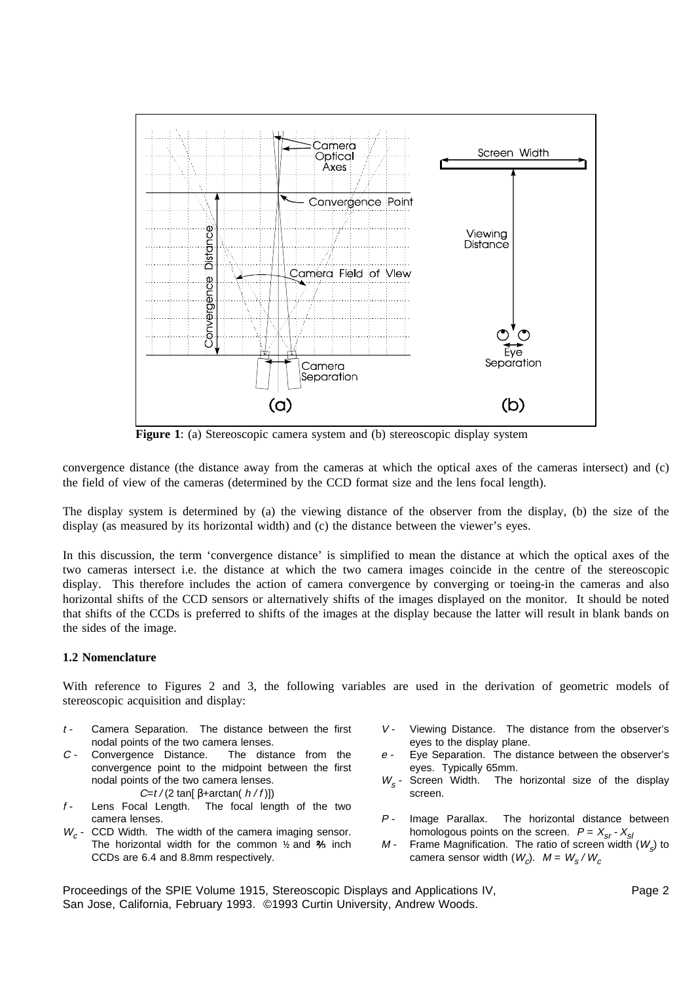

**Figure 1**: (a) Stereoscopic camera system and (b) stereoscopic display system

convergence distance (the distance away from the cameras at which the optical axes of the cameras intersect) and (c) the field of view of the cameras (determined by the CCD format size and the lens focal length).

The display system is determined by (a) the viewing distance of the observer from the display, (b) the size of the display (as measured by its horizontal width) and (c) the distance between the viewer's eyes.

In this discussion, the term 'convergence distance' is simplified to mean the distance at which the optical axes of the two cameras intersect i.e. the distance at which the two camera images coincide in the centre of the stereoscopic display. This therefore includes the action of camera convergence by converging or toeing-in the cameras and also horizontal shifts of the CCD sensors or alternatively shifts of the images displayed on the monitor. It should be noted that shifts of the CCDs is preferred to shifts of the images at the display because the latter will result in blank bands on the sides of the image.

#### **1.2 Nomenclature**

With reference to Figures 2 and 3, the following variables are used in the derivation of geometric models of stereoscopic acquisition and display:

- $t$  Camera Separation. The distance between the first nodal points of the two camera lenses.
- C Convergence Distance. The distance from the convergence point to the midpoint between the first nodal points of the two camera lenses. C=t / (2 tan[  $\beta$ +arctan(  $h / f$ )])
- $f$  Lens Focal Length. The focal length of the two camera lenses.
- $W_c$  CCD Width. The width of the camera imaging sensor. The horizontal width for the common  $\frac{1}{2}$  and  $\frac{2}{3}$  inch CCDs are 6.4 and 8.8mm respectively.
- V Viewing Distance. The distance from the observer's eyes to the display plane.
- Eye Separation. The distance between the observer's eyes. Typically 65mm.
- $W_s$  Screen Width. The horizontal size of the display screen.
- $P$  Image Parallax. The horizontal distance between homologous points on the screen.  $P = X_{sr} - X_{sl}$
- $M$  Frame Magnification. The ratio of screen width  $(W_{\mathcal{S}})$  to camera sensor width ( $W_{_{\cal C}}$ ).  $\,M$  =  $\,W_{_{\cal S}}$  /  $W_{_{\cal C}}$

Proceedings of the SPIE Volume 1915, Stereoscopic Displays and Applications IV, Page 2 San Jose, California, February 1993. ©1993 Curtin University, Andrew Woods.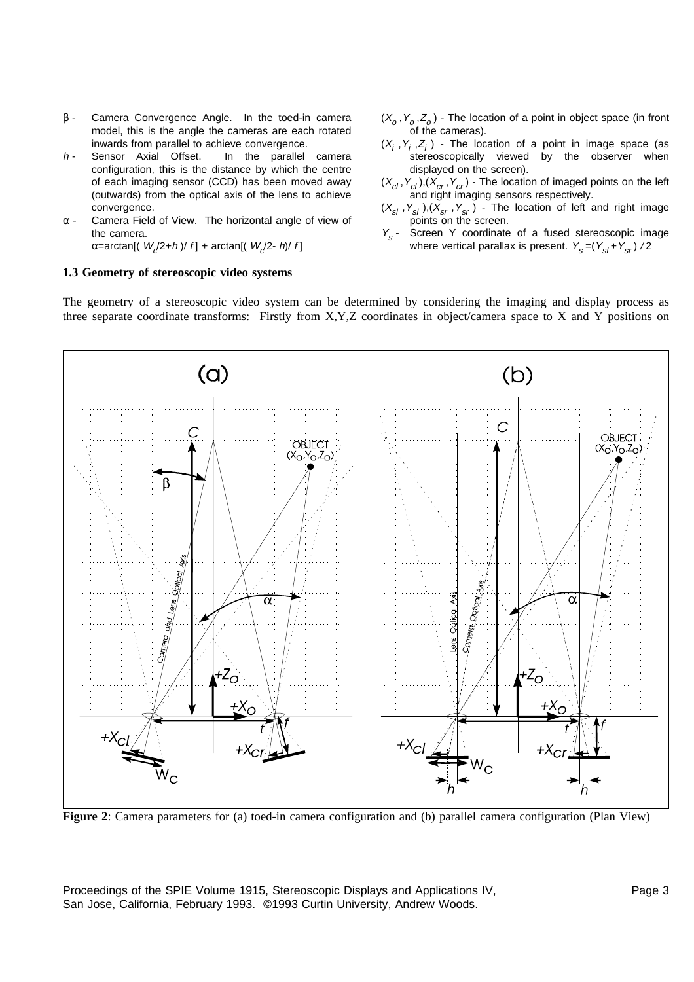- β Camera Convergence Angle. In the toed-in camera model, this is the angle the cameras are each rotated inwards from parallel to achieve convergence.
- h Sensor Axial Offset. In the parallel camera configuration, this is the distance by which the centre of each imaging sensor (CCD) has been moved away (outwards) from the optical axis of the lens to achieve convergence.
- α Camera Field of View. The horizontal angle of view of the camera. α=arctan[( W<sub>c</sub>/2+h )/ f] + arctan[( W<sub>c</sub>/2- h)/ f]

#### **1.3 Geometry of stereoscopic video systems**

 $(X_o, Y_o, Z_o)$  - The location of a point in object space (in front of the cameras).

- $(X_i, Y_i, Z_i)$  The location of a point in image space (as stereoscopically viewed by the observer when displayed on the screen).
- $(X_{cl}$ ,  $Y_{cl}$ ),  $(X_{cr}$ ,  $Y_{cr}$ ) The location of imaged points on the left and right imaging sensors respectively.
- $(X_{sf}$ ,  $Y_{sf}$ ), $(X_{sf}$ ,  $Y_{sf}$ ) The location of left and right image points on the screen.
- $Y_s$  Screen Y coordinate of a fused stereoscopic image where vertical parallax is present.  $Y_s = (Y_{sl} + Y_{sr}) / 2$

The geometry of a stereoscopic video system can be determined by considering the imaging and display process as three separate coordinate transforms: Firstly from X,Y,Z coordinates in object/camera space to X and Y positions on



**Figure 2**: Camera parameters for (a) toed-in camera configuration and (b) parallel camera configuration (Plan View)

Proceedings of the SPIE Volume 1915, Stereoscopic Displays and Applications IV, The Mage 3 San Jose, California, February 1993. ©1993 Curtin University, Andrew Woods.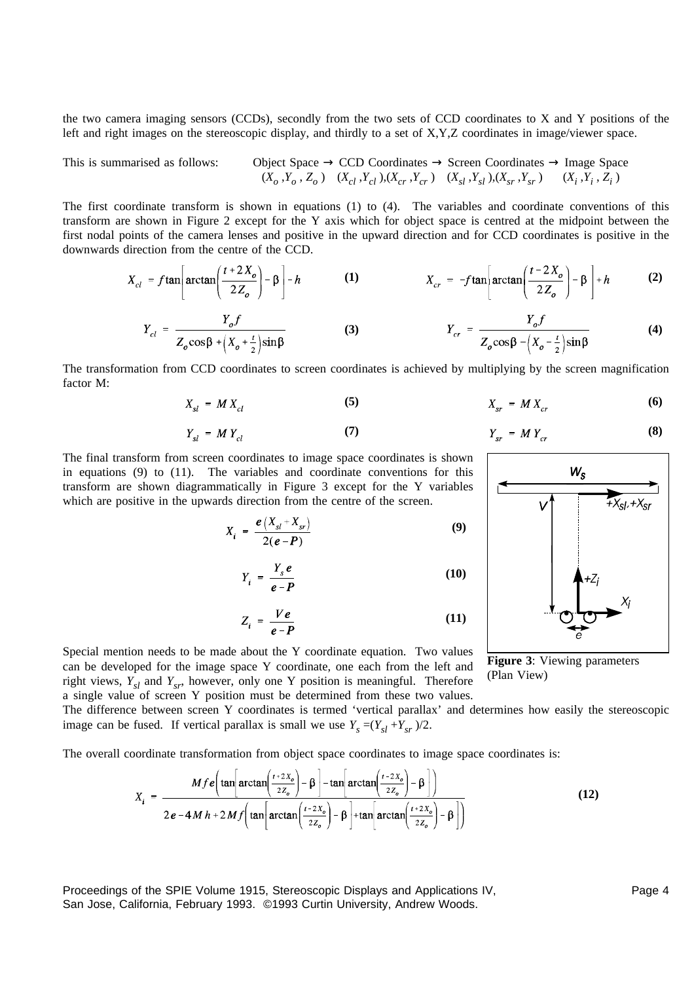the two camera imaging sensors (CCDs), secondly from the two sets of CCD coordinates to X and Y positions of the left and right images on the stereoscopic display, and thirdly to a set of X,Y,Z coordinates in image/viewer space.

This is summarised as follows: Object Space  $\rightarrow$  CCD Coordinates  $\rightarrow$  Screen Coordinates  $\rightarrow$  Image Space  $(X_o, Y_o, Z_o)$   $(X_{c1}, Y_{c1})$ ,  $(X_{cr}, Y_{cr})$   $(X_{s1}, Y_{s1})$ ,  $(X_{sr}, Y_{sr})$   $(X_i, Y_i, Z_i)$ 

The first coordinate transform is shown in equations (1) to (4). The variables and coordinate conventions of this transform are shown in Figure 2 except for the Y axis which for object space is centred at the midpoint between the first nodal points of the camera lenses and positive in the upward direction and for CCD coordinates is positive in the downwards direction from the centre of the CCD.

$$
X_{cl} = f \tan \left[ \arctan \left( \frac{t + 2X_o}{2Z_o} \right) - \beta \right] - h \tag{1}
$$

$$
Y_{cl} = \frac{Y_o f}{Z_o \cos \beta + (X_o + \frac{t}{2}) \sin \beta}
$$
 (3) 
$$
Y_{cr} = \frac{Y_o f}{Z_o \cos \beta - (X_o - \frac{t}{2}) \sin \beta}
$$
 (4)

The transformation from CCD coordinates to screen coordinates is achieved by multiplying by the screen magnification factor M:

$$
X_{st} = M X_{ct} \tag{6}
$$

(7)  $Y_{cr} = MY_{cr}$  (8)

$$
Y_{sl} = M Y_{cl}
$$

The final transform from screen coordinates to image space coordinates is shown in equations (9) to (11). The variables and coordinate conventions for this transform are shown diagrammatically in Figure 3 except for the Y variables which are positive in the upwards direction from the centre of the screen.

$$
X_i = \frac{e(X_{sl} + X_{sr})}{2(e - P)}
$$
(9)

$$
Y_i = \frac{Y_s e}{e - P}
$$
 (10)

$$
Z_i = \frac{Ve}{e - P} \tag{11}
$$

Special mention needs to be made about the Y coordinate equation. Two values can be developed for the image space Y coordinate, one each from the left and right views,  $Y_{s}$  and  $Y_{s}$ , however, only one Y position is meaningful. Therefore a single value of screen Y position must be determined from these two values.

The difference between screen Y coordinates is termed 'vertical parallax' and determines how easily the stereoscopic image can be fused. If vertical parallax is small we use  $Y_s = (Y_{sl} + Y_{sr})/2$ .

The overall coordinate transformation from object space coordinates to image space coordinates is:

$$
X_{i} = \frac{Mfe\left(\tan\left(\arctan\left(\frac{t+2X_{o}}{2Z_{o}}\right)-\beta\right)-\tan\left(\arctan\left(\frac{t-2X_{o}}{2Z_{o}}\right)-\beta\right)\right)}{2e-4Mh+2Mf\left(\tan\left(\arctan\left(\frac{t-2X_{o}}{2Z_{o}}\right)-\beta\right)+\tan\left(\arctan\left(\frac{t+2X_{o}}{2Z_{o}}\right)-\beta\right)\right)}
$$
(12)

Proceedings of the SPIE Volume 1915, Stereoscopic Displays and Applications IV, The Mage 4 San Jose, California, February 1993. ©1993 Curtin University, Andrew Woods.



**Figure 3**: Viewing parameters (Plan View)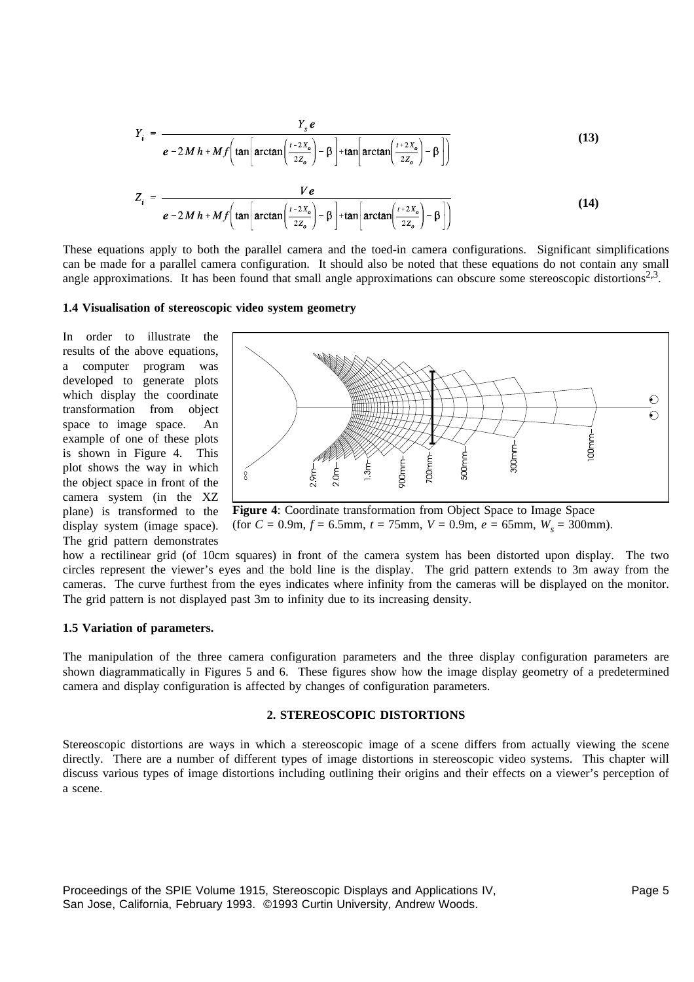$$
Y_i = \frac{Y_s e}{e - 2Mh + Mf \left( \tan \left[ \arctan \left( \frac{t - 2X_o}{2Z_o} \right) - \beta \right] + \tan \left[ \arctan \left( \frac{t + 2X_o}{2Z_o} \right) - \beta \right] \right)}
$$
(13)  
Z<sub>1</sub> = ve

$$
Z_i = \frac{Z_i}{e - 2Mh + Mf\left(\tan\left[\arctan\left(\frac{t - 2X_o}{2Z_o}\right) - \beta\right] + \tan\left[\arctan\left(\frac{t + 2X_o}{2Z_o}\right) - \beta\right]\right)}
$$
(14)

These equations apply to both the parallel camera and the toed-in camera configurations. Significant simplifications can be made for a parallel camera configuration. It should also be noted that these equations do not contain any small angle approximations. It has been found that small angle approximations can obscure some stereoscopic distortions<sup>2,3</sup>.

#### **1.4 Visualisation of stereoscopic video system geometry**

In order to illustrate the results of the above equations, a computer program was developed to generate plots which display the coordinate transformation from object space to image space. An example of one of these plots is shown in Figure 4. This plot shows the way in which the object space in front of the camera system (in the XZ plane) is transformed to the display system (image space). The grid pattern demonstrates



**Figure 4**: Coordinate transformation from Object Space to Image Space (for  $C = 0.9$ m,  $f = 6.5$ mm,  $t = 75$ mm,  $V = 0.9$ m,  $e = 65$ mm,  $W_s = 300$ mm).

how a rectilinear grid (of 10cm squares) in front of the camera system has been distorted upon display. The two circles represent the viewer's eyes and the bold line is the display. The grid pattern extends to 3m away from the cameras. The curve furthest from the eyes indicates where infinity from the cameras will be displayed on the monitor. The grid pattern is not displayed past 3m to infinity due to its increasing density.

#### **1.5 Variation of parameters.**

The manipulation of the three camera configuration parameters and the three display configuration parameters are shown diagrammatically in Figures 5 and 6. These figures show how the image display geometry of a predetermined camera and display configuration is affected by changes of configuration parameters.

# **2. STEREOSCOPIC DISTORTIONS**

Stereoscopic distortions are ways in which a stereoscopic image of a scene differs from actually viewing the scene directly. There are a number of different types of image distortions in stereoscopic video systems. This chapter will discuss various types of image distortions including outlining their origins and their effects on a viewer's perception of a scene.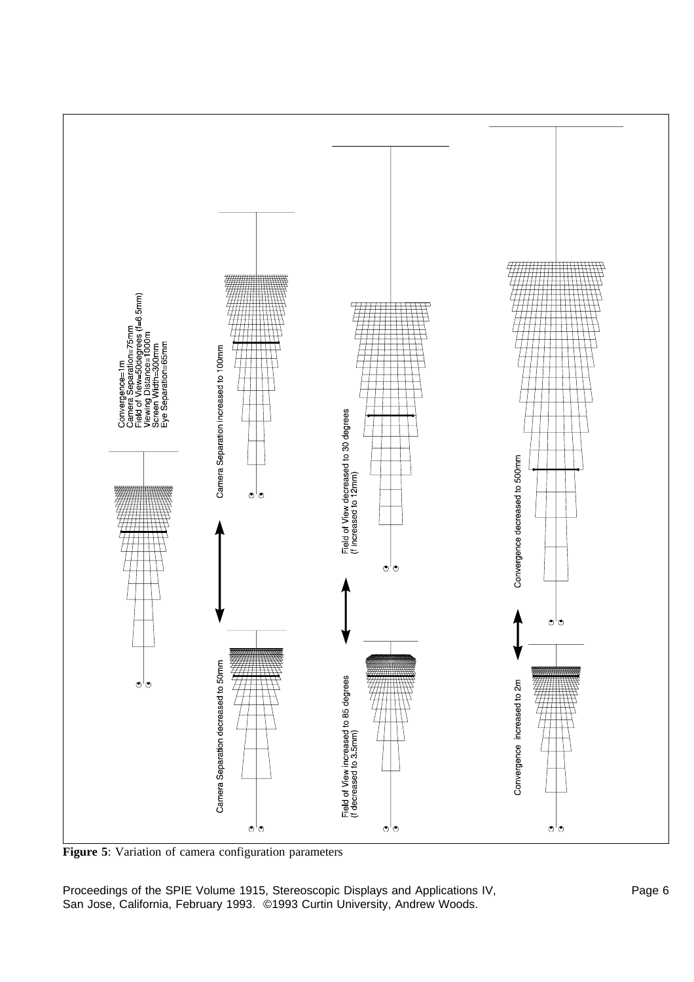

**Figure 5**: Variation of camera configuration parameters

Proceedings of the SPIE Volume 1915, Stereoscopic Displays and Applications IV, Page 6 San Jose, California, February 1993. ©1993 Curtin University, Andrew Woods.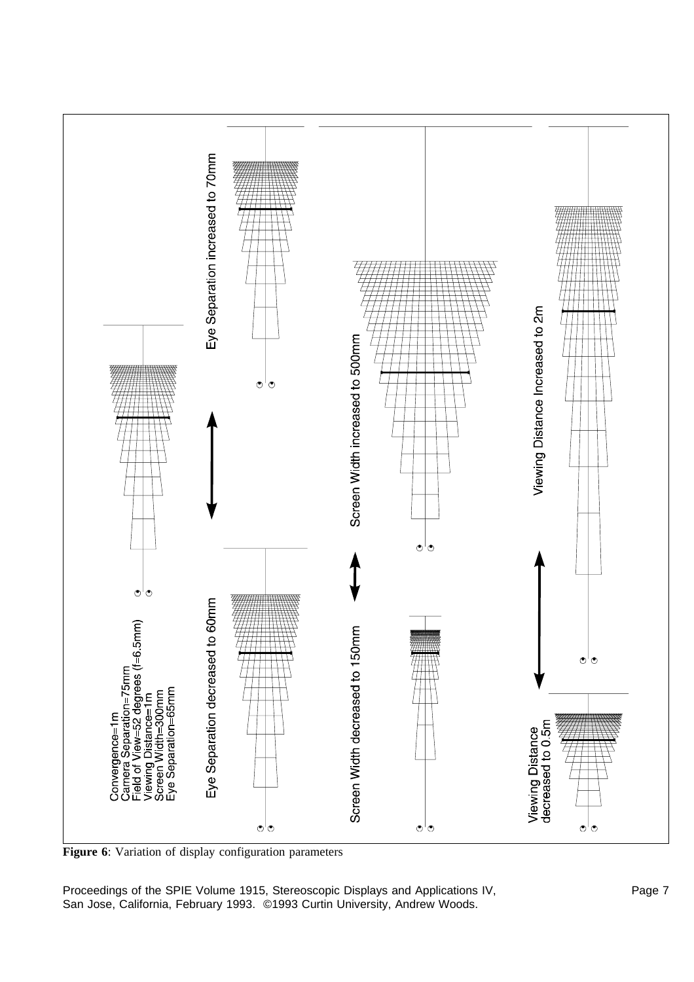

**Figure 6**: Variation of display configuration parameters

Proceedings of the SPIE Volume 1915, Stereoscopic Displays and Applications IV, Page 7 San Jose, California, February 1993. ©1993 Curtin University, Andrew Woods.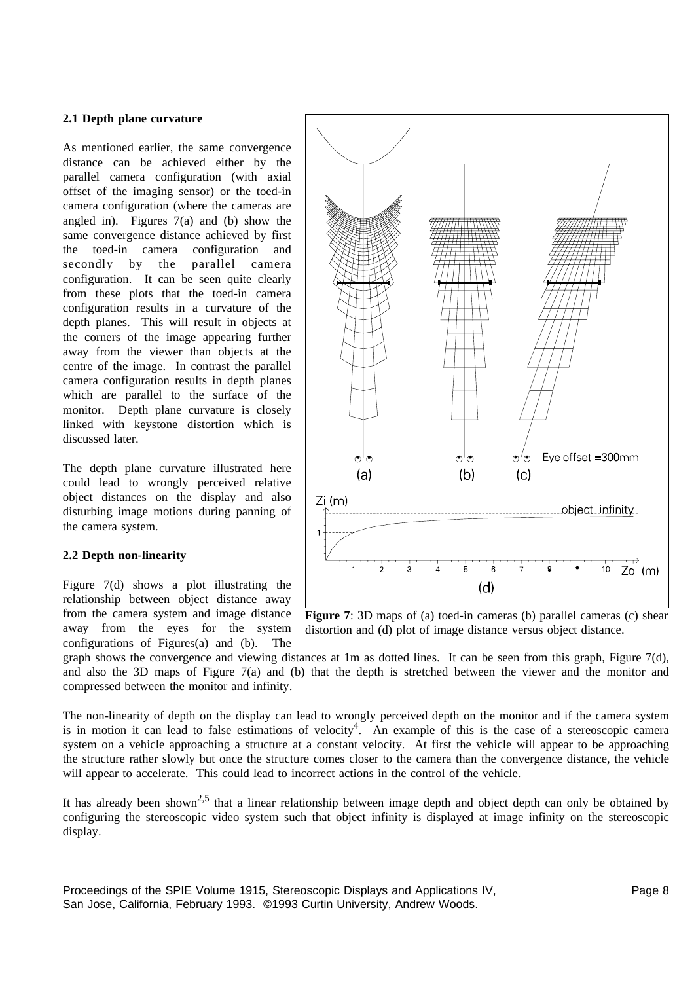# **2.1 Depth plane curvature**

As mentioned earlier, the same convergence distance can be achieved either by the parallel camera configuration (with axial offset of the imaging sensor) or the toed-in camera configuration (where the cameras are angled in). Figures 7(a) and (b) show the same convergence distance achieved by first the toed-in camera configuration and secondly by the parallel camera configuration. It can be seen quite clearly from these plots that the toed-in camera configuration results in a curvature of the depth planes. This will result in objects at the corners of the image appearing further away from the viewer than objects at the centre of the image. In contrast the parallel camera configuration results in depth planes which are parallel to the surface of the monitor. Depth plane curvature is closely linked with keystone distortion which is discussed later.

The depth plane curvature illustrated here could lead to wrongly perceived relative object distances on the display and also disturbing image motions during panning of the camera system.

### **2.2 Depth non-linearity**

Figure 7(d) shows a plot illustrating the relationship between object distance away from the camera system and image distance away from the eyes for the system configurations of Figures(a) and (b). The



**Figure 7**: 3D maps of (a) toed-in cameras (b) parallel cameras (c) shear distortion and (d) plot of image distance versus object distance.

graph shows the convergence and viewing distances at 1m as dotted lines. It can be seen from this graph, Figure 7(d), and also the 3D maps of Figure 7(a) and (b) that the depth is stretched between the viewer and the monitor and compressed between the monitor and infinity.

The non-linearity of depth on the display can lead to wrongly perceived depth on the monitor and if the camera system is in motion it can lead to false estimations of velocity<sup>4</sup>. An example of this is the case of a stereoscopic camera system on a vehicle approaching a structure at a constant velocity. At first the vehicle will appear to be approaching the structure rather slowly but once the structure comes closer to the camera than the convergence distance, the vehicle will appear to accelerate. This could lead to incorrect actions in the control of the vehicle.

It has already been shown<sup>2,5</sup> that a linear relationship between image depth and object depth can only be obtained by configuring the stereoscopic video system such that object infinity is displayed at image infinity on the stereoscopic display.

Proceedings of the SPIE Volume 1915, Stereoscopic Displays and Applications IV, Page 8 San Jose, California, February 1993. ©1993 Curtin University, Andrew Woods.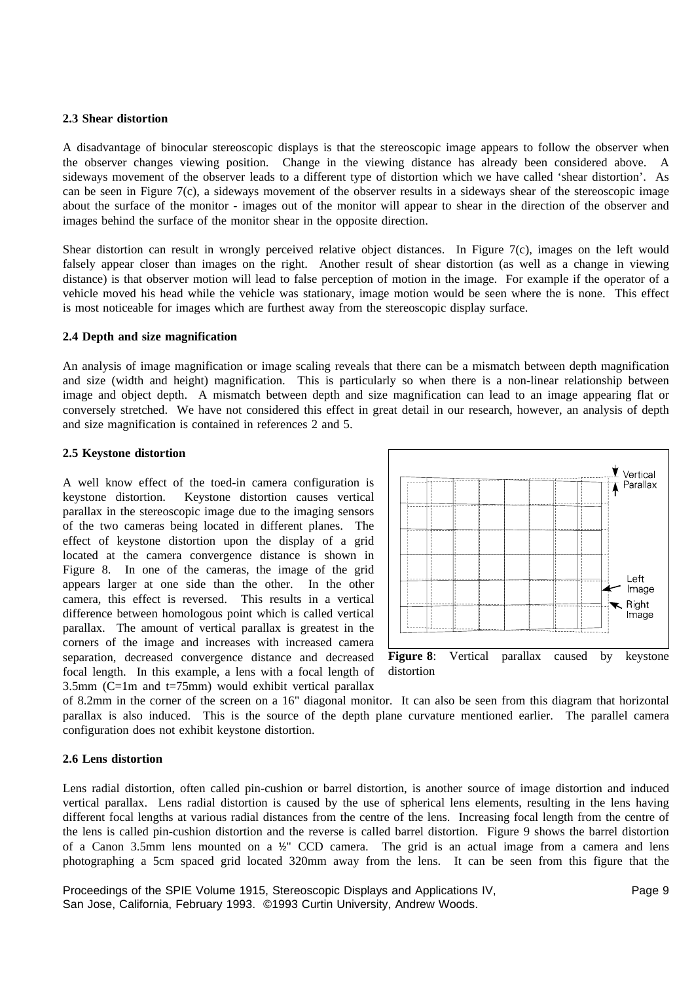#### **2.3 Shear distortion**

A disadvantage of binocular stereoscopic displays is that the stereoscopic image appears to follow the observer when the observer changes viewing position. Change in the viewing distance has already been considered above. A sideways movement of the observer leads to a different type of distortion which we have called 'shear distortion'. As can be seen in Figure 7(c), a sideways movement of the observer results in a sideways shear of the stereoscopic image about the surface of the monitor - images out of the monitor will appear to shear in the direction of the observer and images behind the surface of the monitor shear in the opposite direction.

Shear distortion can result in wrongly perceived relative object distances. In Figure 7(c), images on the left would falsely appear closer than images on the right. Another result of shear distortion (as well as a change in viewing distance) is that observer motion will lead to false perception of motion in the image. For example if the operator of a vehicle moved his head while the vehicle was stationary, image motion would be seen where the is none. This effect is most noticeable for images which are furthest away from the stereoscopic display surface.

#### **2.4 Depth and size magnification**

An analysis of image magnification or image scaling reveals that there can be a mismatch between depth magnification and size (width and height) magnification. This is particularly so when there is a non-linear relationship between image and object depth. A mismatch between depth and size magnification can lead to an image appearing flat or conversely stretched. We have not considered this effect in great detail in our research, however, an analysis of depth and size magnification is contained in references 2 and 5.

### **2.5 Keystone distortion**

A well know effect of the toed-in camera configuration is keystone distortion. Keystone distortion causes vertical parallax in the stereoscopic image due to the imaging sensors of the two cameras being located in different planes. The effect of keystone distortion upon the display of a grid located at the camera convergence distance is shown in Figure 8. In one of the cameras, the image of the grid appears larger at one side than the other. In the other camera, this effect is reversed. This results in a vertical difference between homologous point which is called vertical parallax. The amount of vertical parallax is greatest in the corners of the image and increases with increased camera separation, decreased convergence distance and decreased focal length. In this example, a lens with a focal length of 3.5mm ( $C=1m$  and  $t=75mm$ ) would exhibit vertical parallax



of 8.2mm in the corner of the screen on a 16" diagonal monitor. It can also be seen from this diagram that horizontal parallax is also induced. This is the source of the depth plane curvature mentioned earlier. The parallel camera configuration does not exhibit keystone distortion.

### **2.6 Lens distortion**

Lens radial distortion, often called pin-cushion or barrel distortion, is another source of image distortion and induced vertical parallax. Lens radial distortion is caused by the use of spherical lens elements, resulting in the lens having different focal lengths at various radial distances from the centre of the lens. Increasing focal length from the centre of the lens is called pin-cushion distortion and the reverse is called barrel distortion. Figure 9 shows the barrel distortion of a Canon 3.5mm lens mounted on a ½" CCD camera. The grid is an actual image from a camera and lens photographing a 5cm spaced grid located 320mm away from the lens. It can be seen from this figure that the

Proceedings of the SPIE Volume 1915, Stereoscopic Displays and Applications IV, Page 9 San Jose, California, February 1993. ©1993 Curtin University, Andrew Woods.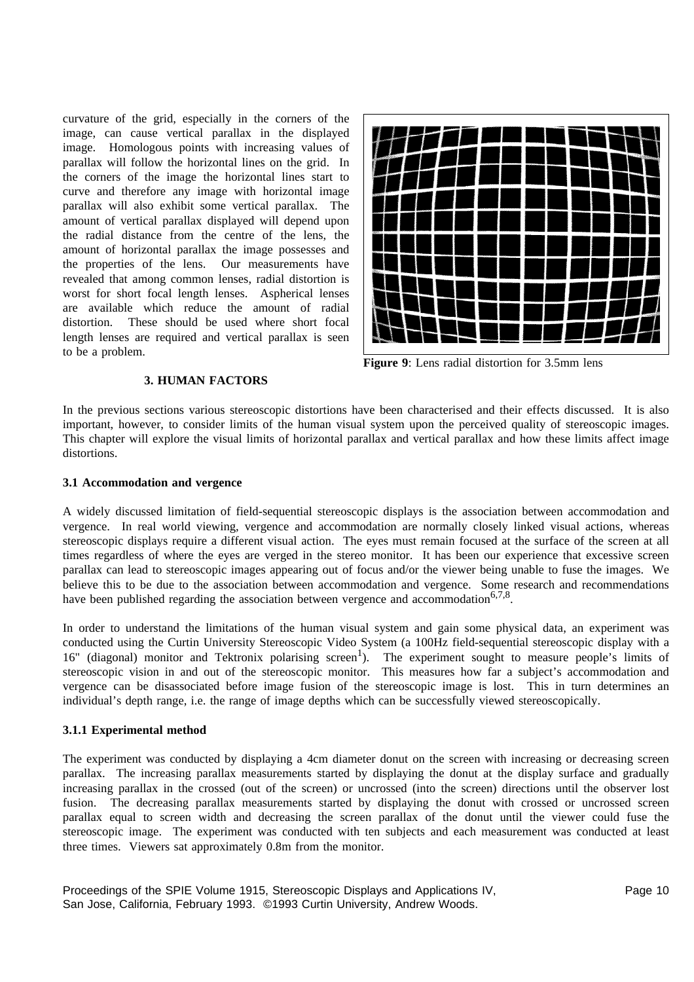curvature of the grid, especially in the corners of the image, can cause vertical parallax in the displayed image. Homologous points with increasing values of parallax will follow the horizontal lines on the grid. In the corners of the image the horizontal lines start to curve and therefore any image with horizontal image parallax will also exhibit some vertical parallax. The amount of vertical parallax displayed will depend upon the radial distance from the centre of the lens, the amount of horizontal parallax the image possesses and the properties of the lens. Our measurements have revealed that among common lenses, radial distortion is worst for short focal length lenses. Aspherical lenses are available which reduce the amount of radial distortion. These should be used where short focal length lenses are required and vertical parallax is seen to be a problem.



**Figure 9**: Lens radial distortion for 3.5mm lens

### **3. HUMAN FACTORS**

In the previous sections various stereoscopic distortions have been characterised and their effects discussed. It is also important, however, to consider limits of the human visual system upon the perceived quality of stereoscopic images. This chapter will explore the visual limits of horizontal parallax and vertical parallax and how these limits affect image distortions.

#### **3.1 Accommodation and vergence**

A widely discussed limitation of field-sequential stereoscopic displays is the association between accommodation and vergence. In real world viewing, vergence and accommodation are normally closely linked visual actions, whereas stereoscopic displays require a different visual action. The eyes must remain focused at the surface of the screen at all times regardless of where the eyes are verged in the stereo monitor. It has been our experience that excessive screen parallax can lead to stereoscopic images appearing out of focus and/or the viewer being unable to fuse the images. We believe this to be due to the association between accommodation and vergence. Some research and recommendations have been published regarding the association between vergence and accommodation<sup>6,7,8</sup>.

In order to understand the limitations of the human visual system and gain some physical data, an experiment was conducted using the Curtin University Stereoscopic Video System (a 100Hz field-sequential stereoscopic display with a 16" (diagonal) monitor and Tektronix polarising screen<sup>1</sup>). The experiment sought to measure people's limits of stereoscopic vision in and out of the stereoscopic monitor. This measures how far a subject's accommodation and vergence can be disassociated before image fusion of the stereoscopic image is lost. This in turn determines an individual's depth range, i.e. the range of image depths which can be successfully viewed stereoscopically.

#### **3.1.1 Experimental method**

The experiment was conducted by displaying a 4cm diameter donut on the screen with increasing or decreasing screen parallax. The increasing parallax measurements started by displaying the donut at the display surface and gradually increasing parallax in the crossed (out of the screen) or uncrossed (into the screen) directions until the observer lost fusion. The decreasing parallax measurements started by displaying the donut with crossed or uncrossed screen parallax equal to screen width and decreasing the screen parallax of the donut until the viewer could fuse the stereoscopic image. The experiment was conducted with ten subjects and each measurement was conducted at least three times. Viewers sat approximately 0.8m from the monitor.

Proceedings of the SPIE Volume 1915, Stereoscopic Displays and Applications IV, Page 10 San Jose, California, February 1993. ©1993 Curtin University, Andrew Woods.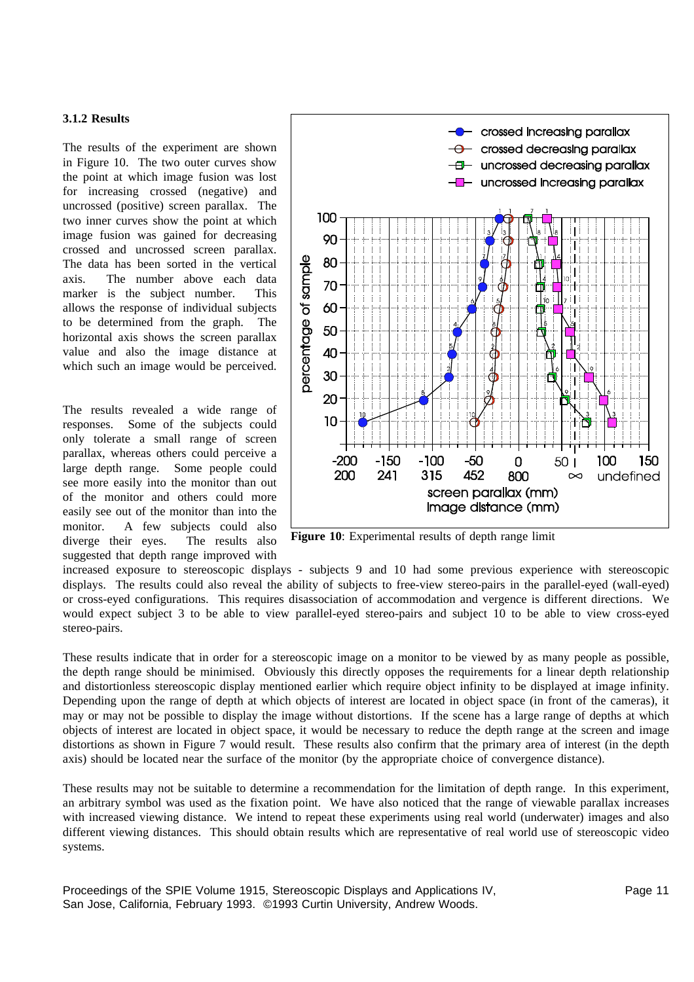## **3.1.2 Results**

The results of the experiment are shown in Figure 10. The two outer curves show the point at which image fusion was lost for increasing crossed (negative) and uncrossed (positive) screen parallax. The two inner curves show the point at which image fusion was gained for decreasing crossed and uncrossed screen parallax. The data has been sorted in the vertical axis. The number above each data marker is the subject number. This allows the response of individual subjects to be determined from the graph. The horizontal axis shows the screen parallax value and also the image distance at which such an image would be perceived.

The results revealed a wide range of responses. Some of the subjects could only tolerate a small range of screen parallax, whereas others could perceive a large depth range. Some people could see more easily into the monitor than out of the monitor and others could more easily see out of the monitor than into the monitor. A few subjects could also diverge their eyes. The results also suggested that depth range improved with



**Figure 10**: Experimental results of depth range limit

increased exposure to stereoscopic displays - subjects 9 and 10 had some previous experience with stereoscopic displays. The results could also reveal the ability of subjects to free-view stereo-pairs in the parallel-eyed (wall-eyed) or cross-eyed configurations. This requires disassociation of accommodation and vergence is different directions. We would expect subject 3 to be able to view parallel-eyed stereo-pairs and subject 10 to be able to view cross-eyed stereo-pairs.

These results indicate that in order for a stereoscopic image on a monitor to be viewed by as many people as possible, the depth range should be minimised. Obviously this directly opposes the requirements for a linear depth relationship and distortionless stereoscopic display mentioned earlier which require object infinity to be displayed at image infinity. Depending upon the range of depth at which objects of interest are located in object space (in front of the cameras), it may or may not be possible to display the image without distortions. If the scene has a large range of depths at which objects of interest are located in object space, it would be necessary to reduce the depth range at the screen and image distortions as shown in Figure 7 would result. These results also confirm that the primary area of interest (in the depth axis) should be located near the surface of the monitor (by the appropriate choice of convergence distance).

These results may not be suitable to determine a recommendation for the limitation of depth range. In this experiment, an arbitrary symbol was used as the fixation point. We have also noticed that the range of viewable parallax increases with increased viewing distance. We intend to repeat these experiments using real world (underwater) images and also different viewing distances. This should obtain results which are representative of real world use of stereoscopic video systems.

Proceedings of the SPIE Volume 1915, Stereoscopic Displays and Applications IV, The Mage 11 San Jose, California, February 1993. ©1993 Curtin University, Andrew Woods.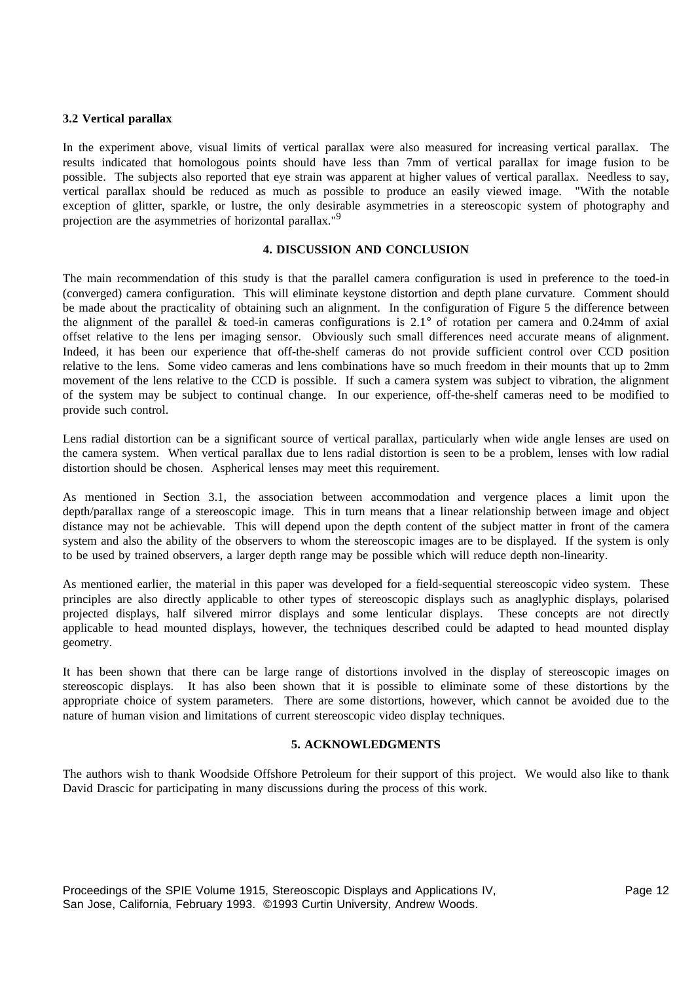### **3.2 Vertical parallax**

In the experiment above, visual limits of vertical parallax were also measured for increasing vertical parallax. The results indicated that homologous points should have less than 7mm of vertical parallax for image fusion to be possible. The subjects also reported that eye strain was apparent at higher values of vertical parallax. Needless to say, vertical parallax should be reduced as much as possible to produce an easily viewed image. "With the notable exception of glitter, sparkle, or lustre, the only desirable asymmetries in a stereoscopic system of photography and projection are the asymmetries of horizontal parallax."<sup>9</sup>

### **4. DISCUSSION AND CONCLUSION**

The main recommendation of this study is that the parallel camera configuration is used in preference to the toed-in (converged) camera configuration. This will eliminate keystone distortion and depth plane curvature. Comment should be made about the practicality of obtaining such an alignment. In the configuration of Figure 5 the difference between the alignment of the parallel & toed-in cameras configurations is 2.1° of rotation per camera and 0.24mm of axial offset relative to the lens per imaging sensor. Obviously such small differences need accurate means of alignment. Indeed, it has been our experience that off-the-shelf cameras do not provide sufficient control over CCD position relative to the lens. Some video cameras and lens combinations have so much freedom in their mounts that up to 2mm movement of the lens relative to the CCD is possible. If such a camera system was subject to vibration, the alignment of the system may be subject to continual change. In our experience, off-the-shelf cameras need to be modified to provide such control.

Lens radial distortion can be a significant source of vertical parallax, particularly when wide angle lenses are used on the camera system. When vertical parallax due to lens radial distortion is seen to be a problem, lenses with low radial distortion should be chosen. Aspherical lenses may meet this requirement.

As mentioned in Section 3.1, the association between accommodation and vergence places a limit upon the depth/parallax range of a stereoscopic image. This in turn means that a linear relationship between image and object distance may not be achievable. This will depend upon the depth content of the subject matter in front of the camera system and also the ability of the observers to whom the stereoscopic images are to be displayed. If the system is only to be used by trained observers, a larger depth range may be possible which will reduce depth non-linearity.

As mentioned earlier, the material in this paper was developed for a field-sequential stereoscopic video system. These principles are also directly applicable to other types of stereoscopic displays such as anaglyphic displays, polarised projected displays, half silvered mirror displays and some lenticular displays. These concepts are not directly applicable to head mounted displays, however, the techniques described could be adapted to head mounted display geometry.

It has been shown that there can be large range of distortions involved in the display of stereoscopic images on stereoscopic displays. It has also been shown that it is possible to eliminate some of these distortions by the appropriate choice of system parameters. There are some distortions, however, which cannot be avoided due to the nature of human vision and limitations of current stereoscopic video display techniques.

### **5. ACKNOWLEDGMENTS**

The authors wish to thank Woodside Offshore Petroleum for their support of this project. We would also like to thank David Drascic for participating in many discussions during the process of this work.